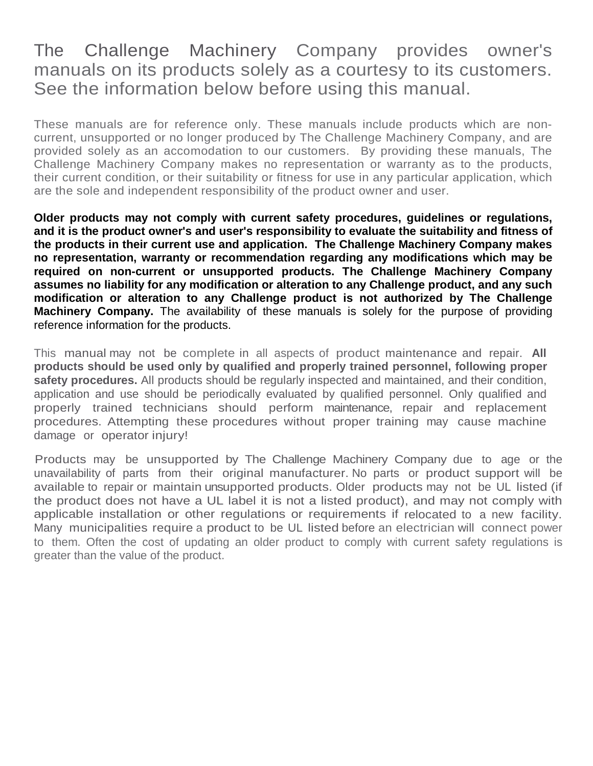## The Challenge Machinery Company provides owner's manuals on its products solely as a courtesy to its customers. See the information below before using this manual.

These manuals are for reference only. These manuals include products which are noncurrent, unsupported or no longer produced by The Challenge Machinery Company, and are provided solely as an accomodation to our customers. By providing these manuals, The Challenge Machinery Company makes no representation or warranty as to the products, their current condition, or their suitability or fitness for use in any particular application, which are the sole and independent responsibility of the product owner and user.

**Older products may not comply with current safety procedures, guidelines or regulations, and it is the product owner's and user's responsibility to evaluate the suitability and fitness of the products in their current use and application. The Challenge Machinery Company makes no representation, warranty or recommendation regarding any modifications which may be required on non-current or unsupported products. The Challenge Machinery Company assumes no liability for any modification or alteration to any Challenge product, and any such modification or alteration to any Challenge product is not authorized by The Challenge Machinery Company.** The availability of these manuals is solely for the purpose of providing reference information for the products.

This manual may not be complete in all aspects of product maintenance and repair. **All products should be used only by qualified and properly trained personnel, following proper safety procedures.** All products should be regularly inspected and maintained, and their condition, application and use should be periodically evaluated by qualified personnel. Only qualified and properly trained technicians should perform maintenance, repair and replacement procedures. Attempting these procedures without proper training may cause machine damage or operator injury!

Products may be unsupported by The Challenge Machinery Company due to age or the unavailability of parts from their original manufacturer. No parts or product support will be available to repair or maintain unsupported products. Older products may not be UL listed (if the product does not have a UL label it is not a listed product), and may not comply with applicable installation or other regulations or requirements if relocated to a new facility. Many municipalities require a product to be UL listed before an electrician will connect power to them. Often the cost of updating an older product to comply with current safety regulations is greater than the value of the product.